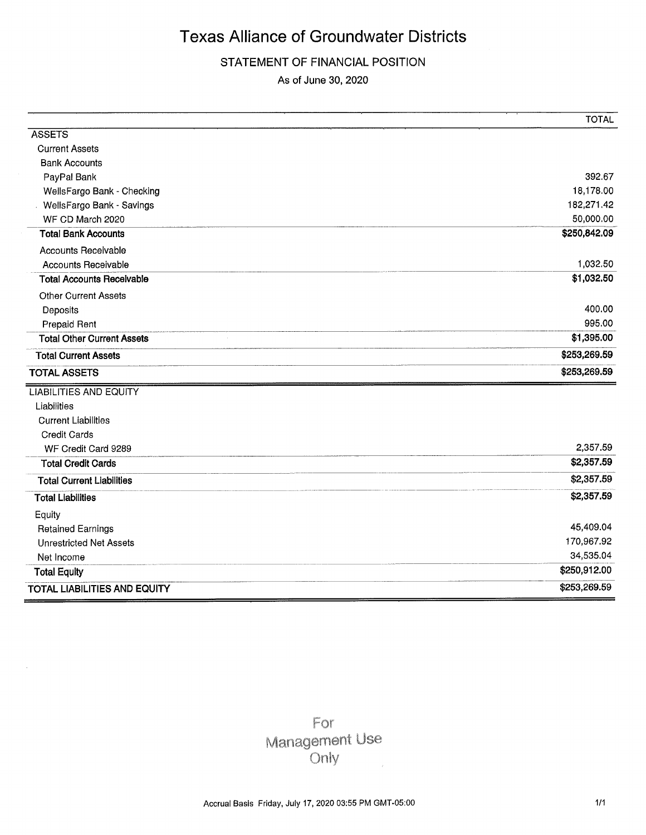### STATEMENT OF FINANCIAL POSITION

As of June 30, 2020

|                                     | <b>TOTAL</b> |
|-------------------------------------|--------------|
| <b>ASSETS</b>                       |              |
| <b>Current Assets</b>               |              |
| <b>Bank Accounts</b>                |              |
| PayPal Bank                         | 392.67       |
| WellsFargo Bank - Checking          | 18,178.00    |
| <b>WellsFargo Bank - Savings</b>    | 182,271.42   |
| WF CD March 2020                    | 50,000.00    |
| <b>Total Bank Accounts</b>          | \$250,842.09 |
| <b>Accounts Receivable</b>          |              |
| <b>Accounts Receivable</b>          | 1,032.50     |
| <b>Total Accounts Receivable</b>    | \$1,032.50   |
| <b>Other Current Assets</b>         |              |
| Deposits                            | 400.00       |
| <b>Prepaid Rent</b>                 | 995.00       |
| <b>Total Other Current Assets</b>   | \$1,395.00   |
| <b>Total Current Assets</b>         | \$253,269.59 |
| <b>TOTAL ASSETS</b>                 | \$253,269.59 |
| <b>LIABILITIES AND EQUITY</b>       |              |
| Liabilities                         |              |
| <b>Current Liabilities</b>          |              |
| <b>Credit Cards</b>                 |              |
| WF Credit Card 9289                 | 2,357.59     |
| <b>Total Credit Cards</b>           | \$2,357.59   |
| <b>Total Current Liabilities</b>    | \$2,357.59   |
| <b>Total Liabilities</b>            | \$2,357.59   |
| Equity                              |              |
| <b>Retained Earnings</b>            | 45,409.04    |
| <b>Unrestricted Net Assets</b>      | 170,967.92   |
| Net Income                          | 34,535.04    |
| <b>Total Equity</b>                 | \$250,912.00 |
| <b>TOTAL LIABILITIES AND EQUITY</b> | \$253,269.59 |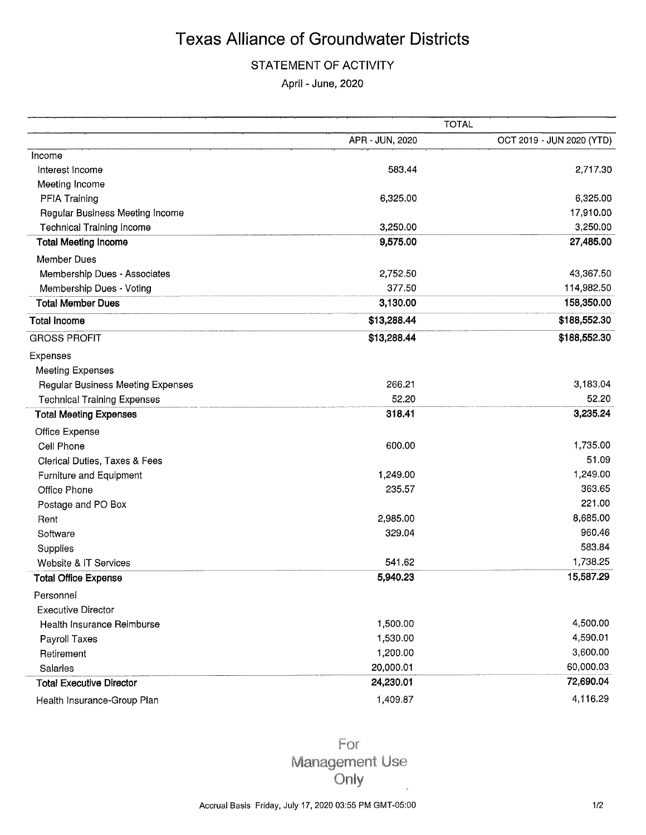### STATEMENT OF ACTIVITY

April - June, 2020

|                                          |                 | <b>TOTAL</b>              |
|------------------------------------------|-----------------|---------------------------|
|                                          | APR - JUN, 2020 | OCT 2019 - JUN 2020 (YTD) |
| Income                                   |                 |                           |
| Interest Income                          | 583.44          | 2,717.30                  |
| Meeting Income                           |                 |                           |
| PFIA Training                            | 6,325.00        | 6,325.00                  |
| Regular Business Meeting Income          |                 | 17,910.00                 |
| <b>Technical Training Income</b>         | 3,250.00        | 3,250.00                  |
| <b>Total Meeting Income</b>              | 9,575.00        | 27,485.00                 |
| <b>Member Dues</b>                       |                 |                           |
| Membership Dues - Associates             | 2,752.50        | 43,367.50                 |
| Membership Dues - Voting                 | 377.50          | 114,982.50                |
| <b>Total Member Dues</b>                 | 3,130.00        | 158,350.00                |
| <b>Total Income</b>                      | \$13,288.44     | \$188,552.30              |
| <b>GROSS PROFIT</b>                      | \$13,288.44     | \$188,552.30              |
| Expenses                                 |                 |                           |
| <b>Meeting Expenses</b>                  |                 |                           |
| <b>Regular Business Meeting Expenses</b> | 266.21          | 3,183.04                  |
| <b>Technical Training Expenses</b>       | 52.20           | 52.20                     |
| <b>Total Meeting Expenses</b>            | 318.41          | 3,235.24                  |
| Office Expense                           |                 |                           |
| Cell Phone                               | 600.00          | 1,735.00                  |
| Clerical Duties, Taxes & Fees            |                 | 51.09                     |
| Furniture and Equipment                  | 1,249.00        | 1,249.00                  |
| Office Phone                             | 235.57          | 363.65                    |
| Postage and PO Box                       |                 | 221.00                    |
| Rent                                     | 2,985.00        | 8,685.00                  |
| Software                                 | 329.04          | 960.46                    |
| Supplies                                 |                 | 583.84                    |
| Website & IT Services                    | 541.62          | 1,738.25                  |
| <b>Total Office Expense</b>              | 5,940.23        | 15,587.29                 |
| Personnel                                |                 |                           |
| <b>Executive Director</b>                |                 |                           |
| Health Insurance Reimburse               | 1,500.00        | 4,500.00                  |
| Payroll Taxes                            | 1,530.00        | 4,590.01                  |
| Retirement                               | 1,200.00        | 3,600.00                  |
| Salaries                                 | 20,000.01       | 60,000.03                 |
| <b>Total Executive Director</b>          | 24,230.01       | 72,690.04                 |
| Health Insurance-Group Plan              | 1,409.87        | 4,116.29                  |

For Management Use Only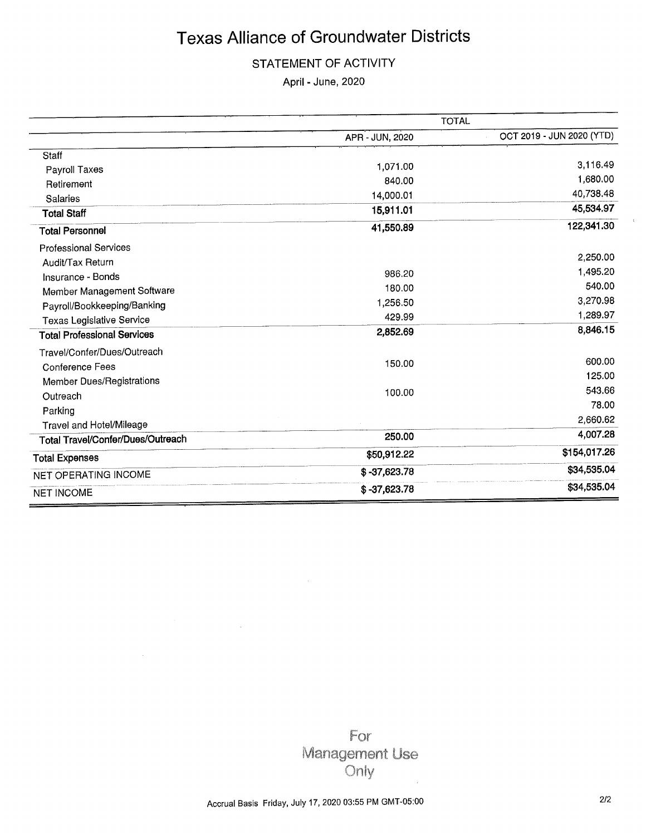### STATEMENT OF ACTIVITY

April - June, 2020

|                                    | <b>TOTAL</b>    |                           |
|------------------------------------|-----------------|---------------------------|
|                                    | APR - JUN, 2020 | OCT 2019 - JUN 2020 (YTD) |
| Staff                              |                 |                           |
| Payroll Taxes                      | 1,071.00        | 3,116.49                  |
| Retirement                         | 840.00          | 1,680.00                  |
| Salaries                           | 14,000.01       | 40,738.48                 |
| <b>Total Staff</b>                 | 15,911.01       | 45,534.97                 |
| <b>Total Personnel</b>             | 41,550.89       | 122,341.30                |
| <b>Professional Services</b>       |                 |                           |
| Audit/Tax Return                   |                 | 2,250.00                  |
| Insurance - Bonds                  | 986.20          | 1,495.20                  |
| Member Management Software         | 180.00          | 540.00                    |
| Payroll/Bookkeeping/Banking        | 1,256.50        | 3,270.98                  |
| Texas Legislative Service          | 429.99          | 1,289.97                  |
| <b>Total Professional Services</b> | 2,852.69        | 8,846.15                  |
| Travel/Confer/Dues/Outreach        |                 |                           |
| <b>Conference Fees</b>             | 150.00          | 600.00                    |
| <b>Member Dues/Registrations</b>   |                 | 125.00                    |
| Outreach                           | 100.00          | 543.66                    |
| Parking                            |                 | 78.00                     |
| <b>Travel and Hotel/Mileage</b>    |                 | 2,660.62                  |
| Total Travel/Confer/Dues/Outreach  | 250.00          | 4,007.28                  |
| <b>Total Expenses</b>              | \$50,912.22     | \$154,017.26              |
| NET OPERATING INCOME               | $$ -37,623.78$  | \$34,535.04               |
| <b>NET INCOME</b>                  | $$ -37,623.78$  | \$34,535.04               |

For Management Use Only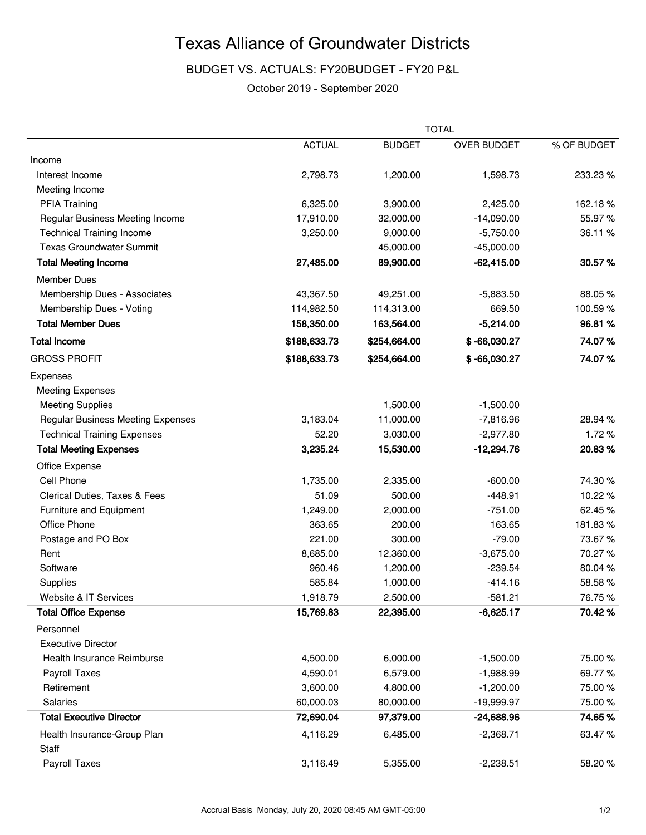### BUDGET VS. ACTUALS: FY20BUDGET - FY20 P&L

October 2019 - September 2020

|                                          |               |               | <b>TOTAL</b>       |             |
|------------------------------------------|---------------|---------------|--------------------|-------------|
|                                          | <b>ACTUAL</b> | <b>BUDGET</b> | <b>OVER BUDGET</b> | % OF BUDGET |
| Income                                   |               |               |                    |             |
| Interest Income                          | 2,798.73      | 1,200.00      | 1,598.73           | 233.23 %    |
| Meeting Income                           |               |               |                    |             |
| <b>PFIA Training</b>                     | 6,325.00      | 3,900.00      | 2,425.00           | 162.18%     |
| Regular Business Meeting Income          | 17,910.00     | 32,000.00     | $-14,090.00$       | 55.97%      |
| <b>Technical Training Income</b>         | 3,250.00      | 9,000.00      | $-5,750.00$        | 36.11 %     |
| <b>Texas Groundwater Summit</b>          |               | 45,000.00     | $-45,000.00$       |             |
| <b>Total Meeting Income</b>              | 27,485.00     | 89,900.00     | $-62,415.00$       | 30.57%      |
| <b>Member Dues</b>                       |               |               |                    |             |
| Membership Dues - Associates             | 43,367.50     | 49,251.00     | $-5,883.50$        | 88.05%      |
| Membership Dues - Voting                 | 114,982.50    | 114,313.00    | 669.50             | 100.59%     |
| <b>Total Member Dues</b>                 | 158,350.00    | 163,564.00    | $-5,214.00$        | 96.81%      |
| <b>Total Income</b>                      | \$188,633.73  | \$254,664.00  | $$ -66,030.27$     | 74.07%      |
| <b>GROSS PROFIT</b>                      | \$188,633.73  | \$254,664.00  | $$ -66,030.27$     | 74.07%      |
| Expenses                                 |               |               |                    |             |
| <b>Meeting Expenses</b>                  |               |               |                    |             |
| <b>Meeting Supplies</b>                  |               | 1,500.00      | $-1,500.00$        |             |
| <b>Regular Business Meeting Expenses</b> | 3,183.04      | 11,000.00     | $-7,816.96$        | 28.94 %     |
| <b>Technical Training Expenses</b>       | 52.20         | 3,030.00      | $-2,977.80$        | 1.72%       |
| <b>Total Meeting Expenses</b>            | 3,235.24      | 15,530.00     | $-12,294.76$       | 20.83%      |
| Office Expense                           |               |               |                    |             |
| Cell Phone                               | 1,735.00      | 2,335.00      | $-600.00$          | 74.30%      |
| Clerical Duties, Taxes & Fees            | 51.09         | 500.00        | $-448.91$          | 10.22%      |
| Furniture and Equipment                  | 1,249.00      | 2,000.00      | $-751.00$          | 62.45%      |
| Office Phone                             | 363.65        | 200.00        | 163.65             | 181.83%     |
| Postage and PO Box                       | 221.00        | 300.00        | $-79.00$           | 73.67%      |
| Rent                                     | 8,685.00      | 12,360.00     | $-3,675.00$        | 70.27%      |
| Software                                 | 960.46        | 1,200.00      | $-239.54$          | 80.04%      |
| Supplies                                 | 585.84        | 1,000.00      | $-414.16$          | 58.58%      |
| Website & IT Services                    | 1,918.79      | 2,500.00      | $-581.21$          | 76.75%      |
| <b>Total Office Expense</b>              | 15,769.83     | 22,395.00     | $-6,625.17$        | 70.42%      |
| Personnel                                |               |               |                    |             |
| <b>Executive Director</b>                |               |               |                    |             |
| Health Insurance Reimburse               | 4,500.00      | 6,000.00      | $-1,500.00$        | 75.00%      |
| Payroll Taxes                            | 4,590.01      | 6,579.00      | $-1,988.99$        | 69.77%      |
| Retirement                               | 3,600.00      | 4,800.00      | $-1,200.00$        | 75.00 %     |
| Salaries                                 | 60,000.03     | 80,000.00     | $-19,999.97$       | 75.00 %     |
| <b>Total Executive Director</b>          | 72,690.04     | 97,379.00     | $-24,688.96$       | 74.65%      |
| Health Insurance-Group Plan              | 4,116.29      | 6,485.00      | $-2,368.71$        | 63.47%      |
| Staff                                    |               |               |                    |             |
| Payroll Taxes                            | 3,116.49      | 5,355.00      | $-2,238.51$        | 58.20%      |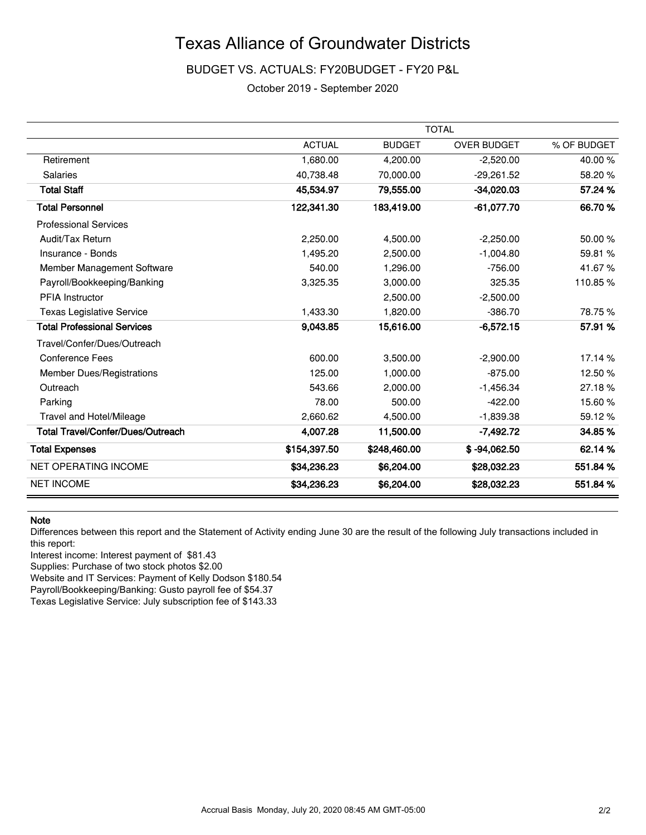### BUDGET VS. ACTUALS: FY20BUDGET - FY20 P&L

October 2019 - September 2020

|                                    |               |               | <b>TOTAL</b>       |             |
|------------------------------------|---------------|---------------|--------------------|-------------|
|                                    | <b>ACTUAL</b> | <b>BUDGET</b> | <b>OVER BUDGET</b> | % OF BUDGET |
| Retirement                         | 1,680.00      | 4.200.00      | $-2,520.00$        | 40.00%      |
| <b>Salaries</b>                    | 40,738.48     | 70,000.00     | $-29,261.52$       | 58.20%      |
| <b>Total Staff</b>                 | 45,534.97     | 79,555.00     | $-34,020.03$       | 57.24 %     |
| <b>Total Personnel</b>             | 122,341.30    | 183,419.00    | $-61,077.70$       | 66.70%      |
| <b>Professional Services</b>       |               |               |                    |             |
| Audit/Tax Return                   | 2,250.00      | 4,500.00      | $-2,250.00$        | 50.00 %     |
| Insurance - Bonds                  | 1,495.20      | 2,500.00      | $-1,004.80$        | 59.81 %     |
| Member Management Software         | 540.00        | 1,296.00      | $-756.00$          | 41.67%      |
| Payroll/Bookkeeping/Banking        | 3,325.35      | 3.000.00      | 325.35             | 110.85%     |
| <b>PFIA Instructor</b>             |               | 2,500.00      | $-2,500.00$        |             |
| <b>Texas Legislative Service</b>   | 1,433.30      | 1,820.00      | $-386.70$          | 78.75%      |
| <b>Total Professional Services</b> | 9,043.85      | 15,616.00     | $-6,572.15$        | 57.91 %     |
| Travel/Confer/Dues/Outreach        |               |               |                    |             |
| <b>Conference Fees</b>             | 600.00        | 3,500.00      | $-2,900.00$        | 17.14 %     |
| <b>Member Dues/Registrations</b>   | 125.00        | 1,000.00      | $-875.00$          | 12.50%      |
| Outreach                           | 543.66        | 2,000.00      | $-1,456.34$        | 27.18%      |
| Parking                            | 78.00         | 500.00        | $-422.00$          | 15.60%      |
| Travel and Hotel/Mileage           | 2,660.62      | 4,500.00      | $-1,839.38$        | 59.12%      |
| Total Travel/Confer/Dues/Outreach  | 4,007.28      | 11,500.00     | $-7,492.72$        | 34.85%      |
| <b>Total Expenses</b>              | \$154,397.50  | \$248,460.00  | $$ -94,062.50$     | 62.14%      |
| <b>NET OPERATING INCOME</b>        | \$34,236.23   | \$6,204.00    | \$28,032.23        | 551.84 %    |
| <b>NET INCOME</b>                  | \$34,236.23   | \$6,204.00    | \$28,032.23        | 551.84 %    |

#### **Note**

Differences between this report and the Statement of Activity ending June 30 are the result of the following July transactions included in this report:

Interest income: Interest payment of \$81.43

Supplies: Purchase of two stock photos \$2.00

Website and IT Services: Payment of Kelly Dodson \$180.54

Payroll/Bookkeeping/Banking: Gusto payroll fee of \$54.37

Texas Legislative Service: July subscription fee of \$143.33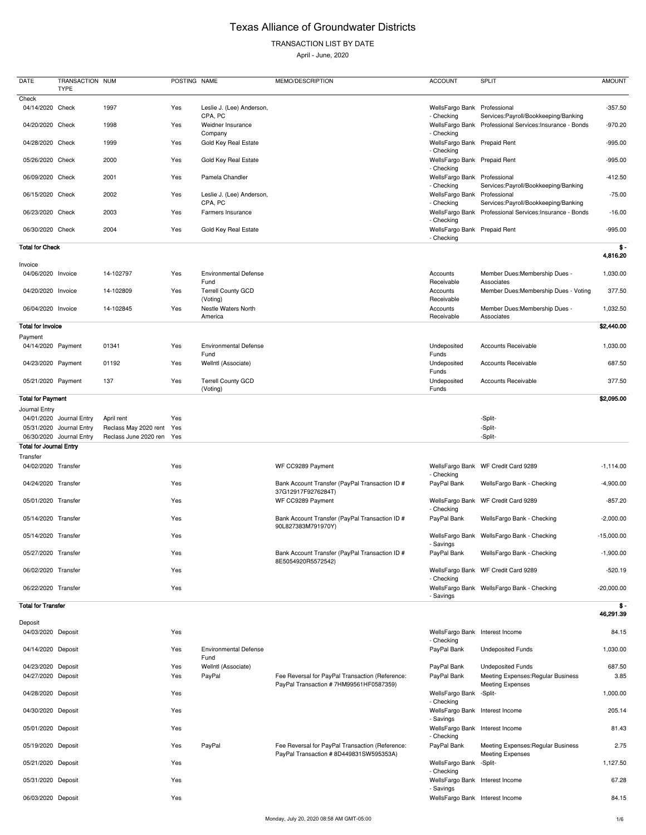## TRANSACTION LIST BY DATE

April - June, 2020

| <b>DATE</b>                    | TRANSACTION NUM<br><b>TYPE</b> |                           | POSTING NAME |                                       | MEMO/DESCRIPTION                                                     | <b>ACCOUNT</b>                             | <b>SPLIT</b>                                             | <b>AMOUNT</b> |
|--------------------------------|--------------------------------|---------------------------|--------------|---------------------------------------|----------------------------------------------------------------------|--------------------------------------------|----------------------------------------------------------|---------------|
| Check                          |                                |                           |              |                                       |                                                                      |                                            |                                                          |               |
| 04/14/2020 Check               |                                | 1997                      | Yes          | Leslie J. (Lee) Anderson,<br>CPA, PC  |                                                                      | WellsFargo Bank<br>- Checking              | Professional<br>Services: Payroll/Bookkeeping/Banking    | $-357.50$     |
| 04/20/2020 Check               |                                | 1998                      | Yes          | Weidner Insurance<br>Company          |                                                                      | - Checking                                 | WellsFargo Bank Professional Services: Insurance - Bonds | $-970.20$     |
| 04/28/2020 Check               |                                | 1999                      | Yes          | Gold Key Real Estate                  |                                                                      | WellsFargo Bank Prepaid Rent<br>- Checking |                                                          | $-995.00$     |
| 05/26/2020 Check               |                                | 2000                      | Yes          | Gold Key Real Estate                  |                                                                      | WellsFargo Bank Prepaid Rent<br>- Checking |                                                          | $-995.00$     |
| 06/09/2020 Check               |                                | 2001                      | Yes          | Pamela Chandler                       |                                                                      | WellsFargo Bank Professional<br>- Checking | Services: Payroll/Bookkeeping/Banking                    | $-412.50$     |
| 06/15/2020 Check               |                                | 2002                      | Yes          | Leslie J. (Lee) Anderson,<br>CPA, PC  |                                                                      | WellsFargo Bank Professional<br>- Checking | Services: Payroll/Bookkeeping/Banking                    | $-75.00$      |
| 06/23/2020 Check               |                                | 2003                      | Yes          | Farmers Insurance                     |                                                                      | - Checking                                 | WellsFargo Bank Professional Services: Insurance - Bonds | $-16.00$      |
| 06/30/2020 Check               |                                | 2004                      | Yes          | Gold Key Real Estate                  |                                                                      | WellsFargo Bank Prepaid Rent<br>- Checking |                                                          | $-995.00$     |
| <b>Total for Check</b>         |                                |                           |              |                                       |                                                                      |                                            |                                                          | $$ -$         |
| Invoice                        |                                |                           |              |                                       |                                                                      |                                            |                                                          | 4,816.20      |
| 04/06/2020 Invoice             |                                | 14-102797                 | Yes          | <b>Environmental Defense</b><br>Fund  |                                                                      | Accounts<br>Receivable                     | Member Dues: Membership Dues -<br>Associates             | 1,030.00      |
| 04/20/2020 Invoice             |                                | 14-102809                 | Yes          | <b>Terrell County GCD</b><br>(Voting) |                                                                      | Accounts<br>Receivable                     | Member Dues: Membership Dues - Voting                    | 377.50        |
| 06/04/2020 Invoice             |                                | 14-102845                 | Yes          | Nestle Waters North<br>America        |                                                                      | Accounts<br>Receivable                     | Member Dues: Membership Dues -<br>Associates             | 1,032.50      |
| <b>Total for Invoice</b>       |                                |                           |              |                                       |                                                                      |                                            |                                                          | \$2,440.00    |
| Payment                        |                                |                           |              |                                       |                                                                      |                                            |                                                          |               |
| 04/14/2020 Payment             |                                | 01341                     | Yes          | <b>Environmental Defense</b><br>Fund  |                                                                      | Undeposited<br>Funds                       | Accounts Receivable                                      | 1,030.00      |
| 04/23/2020 Payment             |                                | 01192                     | Yes          | Wellntl (Associate)                   |                                                                      | Undeposited<br>Funds                       | Accounts Receivable                                      | 687.50        |
| 05/21/2020 Payment             |                                | 137                       | Yes          | <b>Terrell County GCD</b><br>(Voting) |                                                                      | Undeposited<br>Funds                       | <b>Accounts Receivable</b>                               | 377.50        |
| <b>Total for Payment</b>       |                                |                           |              |                                       |                                                                      |                                            |                                                          | \$2,095.00    |
| Journal Entry                  |                                |                           |              |                                       |                                                                      |                                            |                                                          |               |
|                                | 04/01/2020 Journal Entry       | April rent                | Yes          |                                       |                                                                      |                                            | -Split-                                                  |               |
|                                | 05/31/2020 Journal Entry       | Reclass May 2020 rent     | Yes          |                                       |                                                                      |                                            | -Split-                                                  |               |
|                                | 06/30/2020 Journal Entry       | Reclass June 2020 ren Yes |              |                                       |                                                                      |                                            | -Split-                                                  |               |
| <b>Total for Journal Entry</b> |                                |                           |              |                                       |                                                                      |                                            |                                                          |               |
| Transfer                       |                                |                           |              |                                       |                                                                      |                                            |                                                          |               |
| 04/02/2020 Transfer            |                                |                           | Yes          |                                       | WF CC9289 Payment                                                    | - Checking                                 | WellsFargo Bank WF Credit Card 9289                      | $-1,114.00$   |
| 04/24/2020 Transfer            |                                |                           | Yes          |                                       | Bank Account Transfer (PayPal Transaction ID #<br>37G12917F9276284T) | PayPal Bank                                | WellsFargo Bank - Checking                               | $-4,900.00$   |
| 05/01/2020 Transfer            |                                |                           | Yes          |                                       | WF CC9289 Payment                                                    | - Checking                                 | WellsFargo Bank WF Credit Card 9289                      | $-857.20$     |
| 05/14/2020 Transfer            |                                |                           | Yes          |                                       | Bank Account Transfer (PayPal Transaction ID #<br>90L827383M791970Y) | PayPal Bank                                | WellsFargo Bank - Checking                               | $-2,000.00$   |
| 05/14/2020 Transfer            |                                |                           | Yes          |                                       |                                                                      | - Savings                                  | WellsFargo Bank WellsFargo Bank - Checking               | $-15,000.00$  |
| 05/27/2020 Transfer            |                                |                           | Yes          |                                       | Bank Account Transfer (PayPal Transaction ID #<br>8E5054920R5572542) | PayPal Bank                                | WellsFargo Bank - Checking                               | $-1,900.00$   |
| 06/02/2020 Transfer            |                                |                           | Yes          |                                       |                                                                      | - Checking                                 | WellsFargo Bank WF Credit Card 9289                      | $-520.19$     |
| 06/22/2020 Transfer            |                                |                           | Yes          |                                       |                                                                      |                                            | WellsFargo Bank WellsFargo Bank - Checking               | $-20,000.00$  |

- Savings

#### **Total for Transfer \$ -**

**46,291.39**

| Deposit            |     |                                      |                                                                                           |                                               |                                                               |          |
|--------------------|-----|--------------------------------------|-------------------------------------------------------------------------------------------|-----------------------------------------------|---------------------------------------------------------------|----------|
| 04/03/2020 Deposit | Yes |                                      |                                                                                           | WellsFargo Bank Interest Income<br>- Checking |                                                               | 84.15    |
| 04/14/2020 Deposit | Yes | <b>Environmental Defense</b><br>Fund |                                                                                           | PayPal Bank                                   | <b>Undeposited Funds</b>                                      | 1,030.00 |
| 04/23/2020 Deposit | Yes | Wellntl (Associate)                  |                                                                                           | PayPal Bank                                   | <b>Undeposited Funds</b>                                      | 687.50   |
| 04/27/2020 Deposit | Yes | PayPal                               | Fee Reversal for PayPal Transaction (Reference:<br>PayPal Transaction #7HM99561HF0587359) | PayPal Bank                                   | Meeting Expenses: Regular Business<br><b>Meeting Expenses</b> | 3.85     |
| 04/28/2020 Deposit | Yes |                                      |                                                                                           | WellsFargo Bank -Split-<br>- Checking         |                                                               | 1,000.00 |
| 04/30/2020 Deposit | Yes |                                      |                                                                                           | WellsFargo Bank Interest Income<br>- Savings  |                                                               | 205.14   |
| 05/01/2020 Deposit | Yes |                                      |                                                                                           | WellsFargo Bank Interest Income<br>- Checking |                                                               | 81.43    |
| 05/19/2020 Deposit | Yes | PayPal                               | Fee Reversal for PayPal Transaction (Reference:<br>PayPal Transaction #8D449831SW595353A) | PayPal Bank                                   | Meeting Expenses: Regular Business<br><b>Meeting Expenses</b> | 2.75     |
| 05/21/2020 Deposit | Yes |                                      |                                                                                           | WellsFargo Bank -Split-<br>- Checking         |                                                               | 1,127.50 |
| 05/31/2020 Deposit | Yes |                                      |                                                                                           | WellsFargo Bank Interest Income<br>- Savings  |                                                               | 67.28    |
| 06/03/2020 Deposit | Yes |                                      |                                                                                           | WellsFargo Bank Interest Income               |                                                               | 84.15    |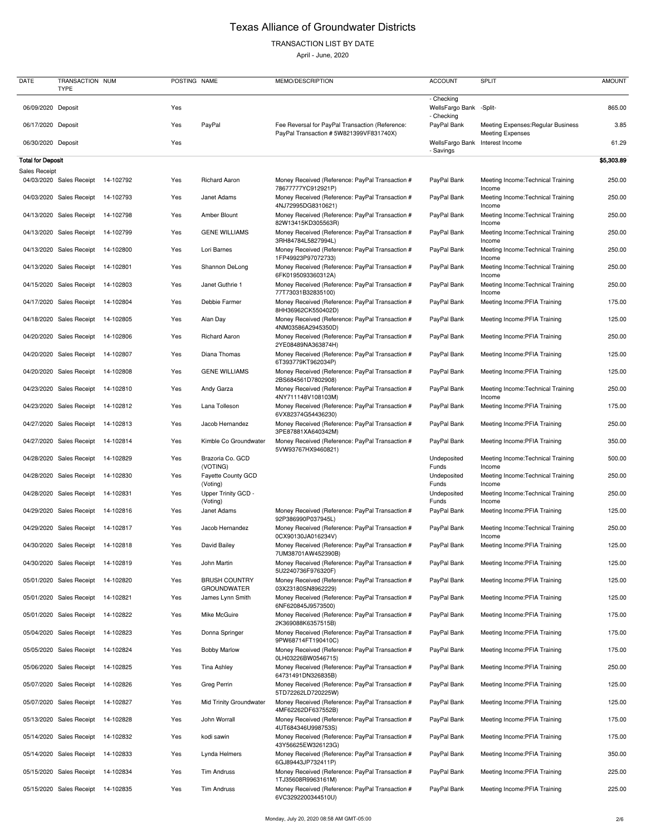## TRANSACTION LIST BY DATE

| <b>DATE</b>              | TRANSACTION NUM<br><b>TYPE</b>     |           | POSTING NAME |                                            | MEMO/DESCRIPTION                                                                          | <b>ACCOUNT</b>                              | <b>SPLIT</b>                                                  | <b>AMOUNT</b> |
|--------------------------|------------------------------------|-----------|--------------|--------------------------------------------|-------------------------------------------------------------------------------------------|---------------------------------------------|---------------------------------------------------------------|---------------|
| 06/09/2020 Deposit       |                                    |           | Yes          |                                            |                                                                                           | - Checking<br>WellsFargo Bank<br>- Checking | -Split-                                                       | 865.00        |
| 06/17/2020 Deposit       |                                    |           | Yes          | PayPal                                     | Fee Reversal for PayPal Transaction (Reference:<br>PayPal Transaction #5W821399VF831740X) | PayPal Bank                                 | Meeting Expenses: Regular Business<br><b>Meeting Expenses</b> | 3.85          |
| 06/30/2020 Deposit       |                                    |           | Yes          |                                            |                                                                                           | WellsFargo Bank<br>- Savings                | Interest Income                                               | 61.29         |
| <b>Total for Deposit</b> |                                    |           |              |                                            |                                                                                           |                                             |                                                               | \$5,303.89    |
| <b>Sales Receipt</b>     | 04/03/2020 Sales Receipt 14-102792 |           | Yes          | <b>Richard Aaron</b>                       | Money Received (Reference: PayPal Transaction #<br>78677777YC912921P)                     | PayPal Bank                                 | Meeting Income: Technical Training<br>Income                  | 250.00        |
|                          | 04/03/2020 Sales Receipt           | 14-102793 | Yes          | Janet Adams                                | Money Received (Reference: PayPal Transaction #<br>4NJ72995DG8310621)                     | PayPal Bank                                 | Meeting Income: Technical Training<br>Income                  | 250.00        |
|                          | 04/13/2020 Sales Receipt           | 14-102798 | Yes          | Amber Blount                               | Money Received (Reference: PayPal Transaction #<br>82W13415KD305563R)                     | PayPal Bank                                 | Meeting Income: Technical Training<br>Income                  | 250.00        |
|                          | 04/13/2020 Sales Receipt           | 14-102799 | Yes          | <b>GENE WILLIAMS</b>                       | Money Received (Reference: PayPal Transaction #<br>3RH84784L5827994L)                     | PayPal Bank                                 | Meeting Income: Technical Training<br>Income                  | 250.00        |
|                          | 04/13/2020 Sales Receipt           | 14-102800 | Yes          | Lori Barnes                                | Money Received (Reference: PayPal Transaction #<br>1FP49923P97072733)                     | PayPal Bank                                 | Meeting Income: Technical Training<br>Income                  | 250.00        |
|                          | 04/13/2020 Sales Receipt           | 14-102801 | Yes          | Shannon DeLong                             | Money Received (Reference: PayPal Transaction #<br>6FK0195093360312A)                     | PayPal Bank                                 | Meeting Income: Technical Training<br>Income                  | 250.00        |
|                          | 04/15/2020 Sales Receipt           | 14-102803 | Yes          | Janet Guthrie 1                            | Money Received (Reference: PayPal Transaction #<br>77T73031B32835100)                     | PayPal Bank                                 | Meeting Income: Technical Training<br>Income                  | 250.00        |
|                          | 04/17/2020 Sales Receipt           | 14-102804 | Yes          | Debbie Farmer                              | Money Received (Reference: PayPal Transaction #<br>8HH36962CK550402D)                     | PayPal Bank                                 | Meeting Income: PFIA Training                                 | 175.00        |
|                          | 04/18/2020 Sales Receipt           | 14-102805 | Yes          | Alan Day                                   | Money Received (Reference: PayPal Transaction #<br>4NM03586A2945350D)                     | PayPal Bank                                 | Meeting Income: PFIA Training                                 | 125.00        |
|                          | 04/20/2020 Sales Receipt           | 14-102806 | Yes          | <b>Richard Aaron</b>                       | Money Received (Reference: PayPal Transaction #<br>2YE08489NA363874H)                     | PayPal Bank                                 | Meeting Income: PFIA Training                                 | 250.00        |
|                          | 04/20/2020 Sales Receipt 14-102807 |           | Yes          | Diana Thomas                               | Money Received (Reference: PayPal Transaction #<br>6T393779KT962034P)                     | PayPal Bank                                 | Meeting Income: PFIA Training                                 | 125.00        |
|                          | 04/20/2020 Sales Receipt 14-102808 |           | Yes          | <b>GENE WILLIAMS</b>                       | Money Received (Reference: PayPal Transaction #<br>2BS684561D7802908)                     | PayPal Bank                                 | Meeting Income: PFIA Training                                 | 125.00        |
|                          | 04/23/2020 Sales Receipt           | 14-102810 | Yes          | Andy Garza                                 | Money Received (Reference: PayPal Transaction #<br>4NY711148V108103M)                     | PayPal Bank                                 | Meeting Income: Technical Training<br>Income                  | 250.00        |
| 04/23/2020               | Sales Receipt                      | 14-102812 | Yes          | Lana Tolleson                              | Money Received (Reference: PayPal Transaction #<br>6VX82374G54436230)                     | PayPal Bank                                 | Meeting Income: PFIA Training                                 | 175.00        |
|                          | 04/27/2020 Sales Receipt 14-102813 |           | Yes          | Jacob Hernandez                            | Money Received (Reference: PayPal Transaction #<br>3PE87881XA640342M)                     | PayPal Bank                                 | Meeting Income: PFIA Training                                 | 250.00        |
|                          | 04/27/2020 Sales Receipt 14-102814 |           | Yes          | Kimble Co Groundwater                      | Money Received (Reference: PayPal Transaction #<br>5VW93767HX9460821)                     | PayPal Bank                                 | Meeting Income: PFIA Training                                 | 350.00        |
|                          | 04/28/2020 Sales Receipt           | 14-102829 | Yes          | Brazoria Co. GCD<br>(VOTING)               |                                                                                           | Undeposited<br>Funds                        | Meeting Income: Technical Training<br>Income                  | 500.00        |
|                          | 04/28/2020 Sales Receipt           | 14-102830 | Yes          | Fayette County GCD<br>(Voting)             |                                                                                           | Undeposited<br>Funds                        | Meeting Income: Technical Training<br>Income                  | 250.00        |
|                          | 04/28/2020 Sales Receipt           | 14-102831 | Yes          | Upper Trinity GCD -<br>(Voting)            |                                                                                           | Undeposited<br>Funds                        | Meeting Income: Technical Training<br>Income                  | 250.00        |
|                          | 04/29/2020 Sales Receipt           | 14-102816 | Yes          | Janet Adams                                | Money Received (Reference: PayPal Transaction #<br>92P386990P037945L)                     | PayPal Bank                                 | Meeting Income: PFIA Training                                 | 125.00        |
|                          | 04/29/2020 Sales Receipt 14-102817 |           | Yes          | Jacob Hernandez                            | Money Received (Reference: PayPal Transaction #<br>0CX90130JA016234V)                     | PayPal Bank                                 | Meeting Income: Technical Training<br>Income                  | 250.00        |
|                          | 04/30/2020 Sales Receipt           | 14-102818 | Yes          | David Bailey                               | Money Received (Reference: PayPal Transaction #<br>7UM38701AW452390B)                     | PayPal Bank                                 | Meeting Income: PFIA Training                                 | 125.00        |
| 04/30/2020               | <b>Sales Receipt</b>               | 14-102819 | Yes          | John Martin                                | Money Received (Reference: PayPal Transaction #<br>5U2240736F976320F)                     | PayPal Bank                                 | Meeting Income: PFIA Training                                 | 125.00        |
|                          | 05/01/2020 Sales Receipt           | 14-102820 | Yes          | <b>BRUSH COUNTRY</b><br><b>GROUNDWATER</b> | Money Received (Reference: PayPal Transaction #<br>03X23180SN8962229)                     | PayPal Bank                                 | Meeting Income: PFIA Training                                 | 125.00        |
|                          | 05/01/2020 Sales Receipt           | 14-102821 | Yes          | James Lynn Smith                           | Money Received (Reference: PayPal Transaction #<br>6NF620845J9573500)                     | PayPal Bank                                 | Meeting Income: PFIA Training                                 | 125.00        |
|                          | 05/01/2020 Sales Receipt           | 14-102822 | Yes          | Mike McGuire                               | Money Received (Reference: PayPal Transaction #<br>2K369088K6357515B)                     | PayPal Bank                                 | Meeting Income: PFIA Training                                 | 175.00        |
|                          | 05/04/2020 Sales Receipt           | 14-102823 | Yes          | Donna Springer                             | Money Received (Reference: PayPal Transaction #<br>9PW68714FT190410C)                     | PayPal Bank                                 | Meeting Income: PFIA Training                                 | 175.00        |
|                          | 05/05/2020 Sales Receipt           | 14-102824 | Yes          | <b>Bobby Marlow</b>                        | Money Received (Reference: PayPal Transaction #<br>0LH03226BW0546715)                     | PayPal Bank                                 | Meeting Income: PFIA Training                                 | 175.00        |
|                          | 05/06/2020 Sales Receipt 14-102825 |           | Yes          | Tina Ashley                                | Money Received (Reference: PayPal Transaction #<br>64731491DN326835B)                     | PayPal Bank                                 | Meeting Income: PFIA Training                                 | 250.00        |
|                          | 05/07/2020 Sales Receipt 14-102826 |           | Yes          | Greg Perrin                                | Money Received (Reference: PayPal Transaction #<br>5TD72262LD720225W)                     | PayPal Bank                                 | Meeting Income: PFIA Training                                 | 125.00        |
|                          | 05/07/2020 Sales Receipt           | 14-102827 | Yes          | <b>Mid Trinity Groundwater</b>             | Money Received (Reference: PayPal Transaction #<br>4MF62262DF637552B)                     | PayPal Bank                                 | Meeting Income: PFIA Training                                 | 125.00        |
|                          | 05/13/2020 Sales Receipt           | 14-102828 | Yes          | John Worrall                               | Money Received (Reference: PayPal Transaction #<br>4UT684346U998753S)                     | PayPal Bank                                 | Meeting Income: PFIA Training                                 | 175.00        |
|                          | 05/14/2020 Sales Receipt           | 14-102832 | Yes          | kodi sawin                                 | Money Received (Reference: PayPal Transaction #<br>43Y56625EW326123G)                     | PayPal Bank                                 | Meeting Income: PFIA Training                                 | 175.00        |
|                          | 05/14/2020 Sales Receipt           | 14-102833 | Yes          | Lynda Helmers                              | Money Received (Reference: PayPal Transaction #<br>6GJ89443JP732411P)                     | PayPal Bank                                 | Meeting Income: PFIA Training                                 | 350.00        |
|                          | 05/15/2020 Sales Receipt 14-102834 |           | Yes          | <b>Tim Andruss</b>                         | Money Received (Reference: PayPal Transaction #<br>1TJ35608R9963161M)                     | PayPal Bank                                 | Meeting Income: PFIA Training                                 | 225.00        |
|                          | 05/15/2020 Sales Receipt           | 14-102835 | Yes          | <b>Tim Andruss</b>                         | Money Received (Reference: PayPal Transaction #<br>6VC3292200344510U)                     | PayPal Bank                                 | Meeting Income: PFIA Training                                 | 225.00        |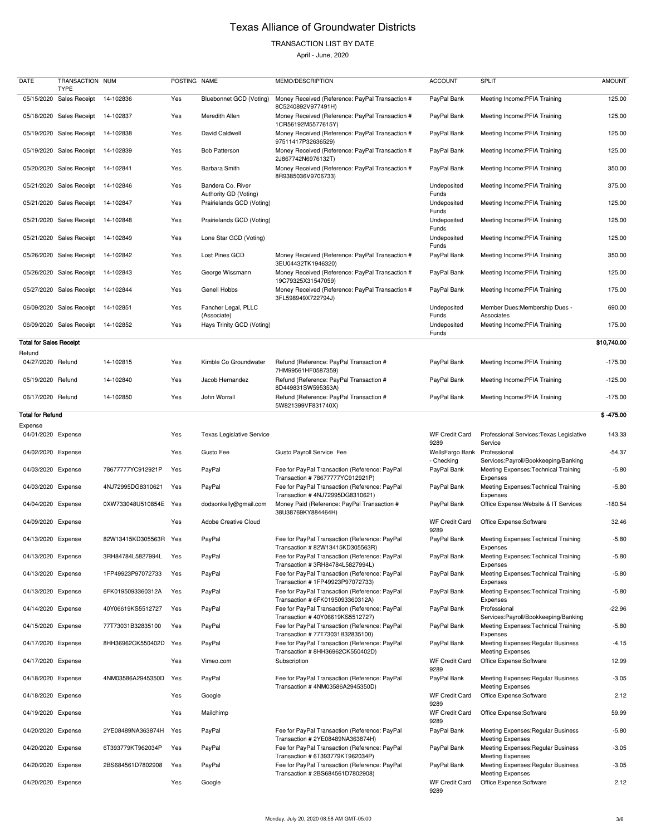### TRANSACTION LIST BY DATE

| DATE                           | TRANSACTION NUM<br><b>TYPE</b> |                       | POSTING NAME |                                            | MEMO/DESCRIPTION                                                                  | <b>ACCOUNT</b>                | <b>SPLIT</b>                                                                  | <b>AMOUNT</b> |
|--------------------------------|--------------------------------|-----------------------|--------------|--------------------------------------------|-----------------------------------------------------------------------------------|-------------------------------|-------------------------------------------------------------------------------|---------------|
|                                | 05/15/2020 Sales Receipt       | 14-102836             | Yes          | <b>Bluebonnet GCD (Voting)</b>             | Money Received (Reference: PayPal Transaction #<br>8C5240892V977491H)             | PayPal Bank                   | Meeting Income: PFIA Training                                                 | 125.00        |
|                                | 05/18/2020 Sales Receipt       | 14-102837             | Yes          | Meredith Allen                             | Money Received (Reference: PayPal Transaction #<br>1CR56192M5577615Y)             | PayPal Bank                   | Meeting Income: PFIA Training                                                 | 125.00        |
|                                | 05/19/2020 Sales Receipt       | 14-102838             | Yes          | David Caldwell                             | Money Received (Reference: PayPal Transaction #<br>97511417P32636529)             | PayPal Bank                   | Meeting Income: PFIA Training                                                 | 125.00        |
|                                | 05/19/2020 Sales Receipt       | 14-102839             | Yes          | <b>Bob Patterson</b>                       | Money Received (Reference: PayPal Transaction #<br>2J867742N6976132T)             | PayPal Bank                   | Meeting Income: PFIA Training                                                 | 125.00        |
|                                | 05/20/2020 Sales Receipt       | 14-102841             | Yes          | Barbara Smith                              | Money Received (Reference: PayPal Transaction #<br>8R9385036V9706733)             | PayPal Bank                   | Meeting Income: PFIA Training                                                 | 350.00        |
|                                | 05/21/2020 Sales Receipt       | 14-102846             | Yes          | Bandera Co. River<br>Authority GD (Voting) |                                                                                   | Undeposited<br>Funds          | Meeting Income: PFIA Training                                                 | 375.00        |
|                                | 05/21/2020 Sales Receipt       | 14-102847             | Yes          | Prairielands GCD (Voting)                  |                                                                                   | Undeposited                   | Meeting Income: PFIA Training                                                 | 125.00        |
|                                | 05/21/2020 Sales Receipt       | 14-102848             | Yes          | Prairielands GCD (Voting)                  |                                                                                   | Funds<br>Undeposited          | Meeting Income: PFIA Training                                                 | 125.00        |
|                                | 05/21/2020 Sales Receipt       | 14-102849             | Yes          | Lone Star GCD (Voting)                     |                                                                                   | Funds<br>Undeposited          | Meeting Income: PFIA Training                                                 | 125.00        |
|                                | 05/26/2020 Sales Receipt       | 14-102842             | Yes          | Lost Pines GCD                             | Money Received (Reference: PayPal Transaction #                                   | Funds<br>PayPal Bank          | Meeting Income: PFIA Training                                                 | 350.00        |
|                                | 05/26/2020 Sales Receipt       | 14-102843             | Yes          | George Wissmann                            | 3EU04432TK1946320)<br>Money Received (Reference: PayPal Transaction #             | PayPal Bank                   | Meeting Income: PFIA Training                                                 | 125.00        |
|                                | 05/27/2020 Sales Receipt       | 14-102844             | Yes          | Genell Hobbs                               | 19C79325X31547059)<br>Money Received (Reference: PayPal Transaction #             | PayPal Bank                   | Meeting Income: PFIA Training                                                 | 175.00        |
|                                | 06/09/2020 Sales Receipt       | 14-102851             | Yes          | Fancher Legal, PLLC                        | 3FL598949X722794J)                                                                | Undeposited                   | Member Dues: Membership Dues -                                                | 690.00        |
|                                | 06/09/2020 Sales Receipt       | 14-102852             | Yes          | (Associate)<br>Hays Trinity GCD (Voting)   |                                                                                   | Funds<br>Undeposited          | Associates<br>Meeting Income: PFIA Training                                   | 175.00        |
| <b>Total for Sales Receipt</b> |                                |                       |              |                                            |                                                                                   | Funds                         |                                                                               | \$10,740.00   |
| Refund<br>04/27/2020 Refund    |                                | 14-102815             | Yes          | Kimble Co Groundwater                      | Refund (Reference: PayPal Transaction #                                           | PayPal Bank                   | Meeting Income: PFIA Training                                                 | $-175.00$     |
| 05/19/2020 Refund              |                                | 14-102840             | Yes          | Jacob Hernandez                            | 7HM99561HF0587359)<br>Refund (Reference: PayPal Transaction #                     | PayPal Bank                   | Meeting Income: PFIA Training                                                 | $-125.00$     |
| 06/17/2020 Refund              |                                | 14-102850             | Yes          | John Worrall                               | 8D449831SW595353A)<br>Refund (Reference: PayPal Transaction #                     | PayPal Bank                   | Meeting Income: PFIA Training                                                 | $-175.00$     |
| <b>Total for Refund</b>        |                                |                       |              |                                            | 5W821399VF831740X)                                                                |                               |                                                                               | $$ -475.00$   |
| Expense<br>04/01/2020 Expense  |                                |                       | Yes          | <b>Texas Legislative Service</b>           |                                                                                   | <b>WF Credit Card</b>         | Professional Services: Texas Legislative                                      | 143.33        |
| 04/02/2020 Expense             |                                |                       | Yes          | Gusto Fee                                  | Gusto Payroll Service Fee                                                         | 9289<br>WellsFargo Bank       | Service<br>Professional                                                       | $-54.37$      |
| 04/03/2020 Expense             |                                | 78677777YC912921P     | Yes          | PayPal                                     | Fee for PayPal Transaction (Reference: PayPal                                     | - Checking<br>PayPal Bank     | Services: Payroll/Bookkeeping/Banking<br>Meeting Expenses: Technical Training | $-5.80$       |
| 04/03/2020 Expense             |                                | 4NJ72995DG8310621     | Yes          | PayPal                                     | Transaction #78677777YC912921P)<br>Fee for PayPal Transaction (Reference: PayPal  | PayPal Bank                   | Expenses<br>Meeting Expenses: Technical Training                              | $-5.80$       |
| 04/04/2020 Expense             |                                | 0XW733048U510854E     | Yes          | dodsonkelly@gmail.com                      | Transaction #4NJ72995DG8310621)<br>Money Paid (Reference: PayPal Transaction #    | PayPal Bank                   | Expenses<br>Office Expense: Website & IT Services                             | $-180.54$     |
| 04/09/2020 Expense             |                                |                       | Yes          | <b>Adobe Creative Cloud</b>                | 38U38769KY884464H)                                                                | <b>WF Credit Card</b>         | Office Expense:Software                                                       | 32.46         |
| 04/13/2020 Expense             |                                | 82W13415KD305563R Yes |              | PayPal                                     | Fee for PayPal Transaction (Reference: PayPal                                     | 9289<br>PayPal Bank           | Meeting Expenses: Technical Training                                          | $-5.80$       |
|                                |                                |                       |              |                                            | Transaction #82W13415KD305563R)                                                   |                               | <b>Expenses</b>                                                               |               |
| 04/13/2020 Expense             |                                | 3RH84784L5827994L     | Yes          | PayPal                                     | Fee for PayPal Transaction (Reference: PayPal<br>Transaction #3RH84784L5827994L)  | PayPal Bank                   | Meeting Expenses: Technical Training<br>Expenses                              | $-5.80$       |
| 04/13/2020 Expense             |                                | 1FP49923P97072733     | Yes          | PayPal                                     | Fee for PayPal Transaction (Reference: PayPal<br>Transaction #1FP49923P97072733)  | PayPal Bank                   | Meeting Expenses: Technical Training<br>Expenses                              | $-5.80$       |
| 04/13/2020 Expense             |                                | 6FK0195093360312A     | Yes          | PayPal                                     | Fee for PayPal Transaction (Reference: PayPal<br>Transaction # 6FK0195093360312A) | PayPal Bank                   | Meeting Expenses: Technical Training<br>Expenses                              | $-5.80$       |
| 04/14/2020 Expense             |                                | 40Y06619KS5512727     | Yes          | PayPal                                     | Fee for PayPal Transaction (Reference: PayPal<br>Transaction #40Y06619KS5512727)  | PayPal Bank                   | Professional<br>Services: Payroll/Bookkeeping/Banking                         | $-22.96$      |
| 04/15/2020 Expense             |                                | 77T73031B32835100     | Yes          | PayPal                                     | Fee for PayPal Transaction (Reference: PayPal<br>Transaction #77T73031B32835100)  | PayPal Bank                   | Meeting Expenses: Technical Training<br>Expenses                              | $-5.80$       |
| 04/17/2020 Expense             |                                | 8HH36962CK550402D     | Yes          | PayPal                                     | Fee for PayPal Transaction (Reference: PayPal<br>Transaction # 8HH36962CK550402D) | PayPal Bank                   | Meeting Expenses: Regular Business<br><b>Meeting Expenses</b>                 | $-4.15$       |
| 04/17/2020 Expense             |                                |                       | Yes          | Vimeo.com                                  | Subscription                                                                      | <b>WF Credit Card</b><br>9289 | Office Expense:Software                                                       | 12.99         |
| 04/18/2020 Expense             |                                | 4NM03586A2945350D     | Yes          | PayPal                                     | Fee for PayPal Transaction (Reference: PayPal<br>Transaction #4NM03586A2945350D)  | PayPal Bank                   | Meeting Expenses: Regular Business<br><b>Meeting Expenses</b>                 | $-3.05$       |
| 04/18/2020 Expense             |                                |                       | Yes          | Google                                     |                                                                                   | <b>WF Credit Card</b><br>9289 | Office Expense:Software                                                       | 2.12          |
| 04/19/2020 Expense             |                                |                       | Yes          | Mailchimp                                  |                                                                                   | <b>WF Credit Card</b><br>9289 | Office Expense:Software                                                       | 59.99         |
| 04/20/2020 Expense             |                                | 2YE08489NA363874H     | Yes          | PayPal                                     | Fee for PayPal Transaction (Reference: PayPal<br>Transaction #2YE08489NA363874H)  | PayPal Bank                   | Meeting Expenses: Regular Business<br><b>Meeting Expenses</b>                 | $-5.80$       |
| 04/20/2020 Expense             |                                | 6T393779KT962034P     | Yes          | PayPal                                     | Fee for PayPal Transaction (Reference: PayPal<br>Transaction # 6T393779KT962034P) | PayPal Bank                   | Meeting Expenses: Regular Business<br><b>Meeting Expenses</b>                 | $-3.05$       |
| 04/20/2020 Expense             |                                | 2BS684561D7802908     | Yes          | PayPal                                     | Fee for PayPal Transaction (Reference: PayPal<br>Transaction # 2BS684561D7802908) | PayPal Bank                   | Meeting Expenses: Regular Business<br><b>Meeting Expenses</b>                 | $-3.05$       |
| 04/20/2020 Expense             |                                |                       | Yes          | Google                                     |                                                                                   | <b>WF Credit Card</b><br>9289 | Office Expense:Software                                                       | 2.12          |

| 04/14/2020 | Expense | 40Y06619KS5512727 | Yes | PayPal    |
|------------|---------|-------------------|-----|-----------|
| 04/15/2020 | Expense | 77T73031B32835100 | Yes | PayPal    |
| 04/17/2020 | Expense | 8HH36962CK550402D | Yes | PayPal    |
| 04/17/2020 | Expense |                   | Yes | Vimeo.cor |
| 04/18/2020 | Expense | 4NM03586A2945350D | Yes | PayPal    |
| 04/18/2020 | Expense |                   | Yes | Google    |
| 04/19/2020 | Expense |                   | Yes | Mailchimp |
| 04/20/2020 | Expense | 2YE08489NA363874H | Yes | PayPal    |
| 04/20/2020 | Expense | 6T393779KT962034P | Yes | PayPal    |
| 04/20/2020 | Expense | 2BS684561D7802908 | Yes | PayPal    |
| 04/20/2020 | Expense |                   | Yes | Google    |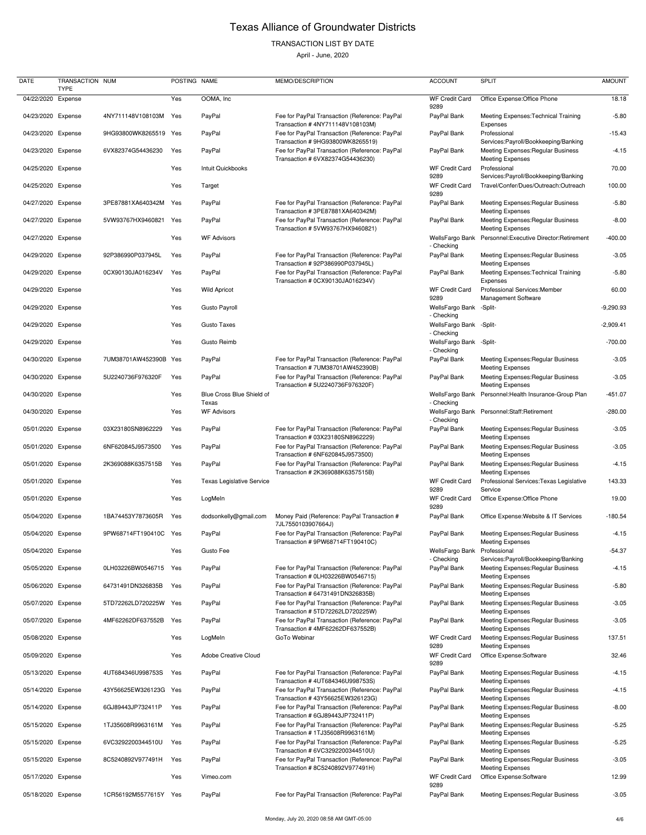## TRANSACTION LIST BY DATE

| <b>DATE</b>        | TRANSACTION NUM<br><b>TYPE</b> |                       | POSTING NAME |                                    | MEMO/DESCRIPTION                                                                                                     | <b>ACCOUNT</b>                        | <b>SPLIT</b>                                                                                    | <b>AMOUNT</b> |
|--------------------|--------------------------------|-----------------------|--------------|------------------------------------|----------------------------------------------------------------------------------------------------------------------|---------------------------------------|-------------------------------------------------------------------------------------------------|---------------|
| 04/22/2020 Expense |                                |                       | Yes          | OOMA, Inc                          |                                                                                                                      | <b>WF Credit Card</b>                 | Office Expense: Office Phone                                                                    | 18.18         |
| 04/23/2020 Expense |                                | 4NY711148V108103M     | Yes          | PayPal                             | Fee for PayPal Transaction (Reference: PayPal                                                                        | 9289<br>PayPal Bank                   | Meeting Expenses: Technical Training                                                            | $-5.80$       |
| 04/23/2020 Expense |                                | 9HG93800WK8265519 Yes |              | PayPal                             | Transaction #4NY711148V108103M)<br>Fee for PayPal Transaction (Reference: PayPal                                     | PayPal Bank                           | Expenses<br>Professional                                                                        | $-15.43$      |
| 04/23/2020 Expense |                                | 6VX82374G54436230     | Yes          | PayPal                             | Transaction #9HG93800WK8265519)<br>Fee for PayPal Transaction (Reference: PayPal<br>Transaction # 6VX82374G54436230) | PayPal Bank                           | Services: Payroll/Bookkeeping/Banking<br>Meeting Expenses: Regular Business                     | $-4.15$       |
| 04/25/2020 Expense |                                |                       | Yes          | Intuit Quickbooks                  |                                                                                                                      | <b>WF Credit Card</b>                 | <b>Meeting Expenses</b><br>Professional                                                         | 70.00         |
| 04/25/2020 Expense |                                |                       | Yes          | Target                             |                                                                                                                      | 9289<br><b>WF Credit Card</b>         | Services: Payroll/Bookkeeping/Banking<br>Travel/Confer/Dues/Outreach:Outreach                   | 100.00        |
| 04/27/2020 Expense |                                | 3PE87881XA640342M     | Yes          | PayPal                             | Fee for PayPal Transaction (Reference: PayPal                                                                        | 9289<br>PayPal Bank                   | Meeting Expenses: Regular Business                                                              | $-5.80$       |
| 04/27/2020 Expense |                                | 5VW93767HX9460821     | Yes          | PayPal                             | Transaction #3PE87881XA640342M)<br>Fee for PayPal Transaction (Reference: PayPal<br>Transaction #5VW93767HX9460821)  | PayPal Bank                           | <b>Meeting Expenses</b><br><b>Meeting Expenses: Regular Business</b><br><b>Meeting Expenses</b> | $-8.00$       |
| 04/27/2020 Expense |                                |                       | Yes          | <b>WF Advisors</b>                 |                                                                                                                      | WellsFargo Bank<br>- Checking         | Personnel:Executive Director:Retirement                                                         | $-400.00$     |
| 04/29/2020 Expense |                                | 92P386990P037945L     | Yes          | PayPal                             | Fee for PayPal Transaction (Reference: PayPal<br>Transaction #92P386990P037945L)                                     | PayPal Bank                           | Meeting Expenses: Regular Business                                                              | $-3.05$       |
| 04/29/2020 Expense |                                | 0CX90130JA016234V     | Yes          | PayPal                             | Fee for PayPal Transaction (Reference: PayPal<br>Transaction # 0CX90130JA016234V)                                    | PayPal Bank                           | <b>Meeting Expenses</b><br>Meeting Expenses: Technical Training<br>Expenses                     | $-5.80$       |
| 04/29/2020 Expense |                                |                       | Yes          | <b>Wild Apricot</b>                |                                                                                                                      | <b>WF Credit Card</b><br>9289         | Professional Services: Member<br><b>Management Software</b>                                     | 60.00         |
| 04/29/2020 Expense |                                |                       | Yes          | <b>Gusto Payroll</b>               |                                                                                                                      | WellsFargo Bank<br>- Checking         | -Split-                                                                                         | $-9,290.93$   |
| 04/29/2020 Expense |                                |                       | Yes          | <b>Gusto Taxes</b>                 |                                                                                                                      | WellsFargo Bank -Split-<br>- Checking |                                                                                                 | $-2,909.41$   |
| 04/29/2020 Expense |                                |                       | Yes          | Gusto Reimb                        |                                                                                                                      | WellsFargo Bank<br>- Checking         | -Split-                                                                                         | $-700.00$     |
| 04/30/2020 Expense |                                | 7UM38701AW452390B     | Yes          | PayPal                             | Fee for PayPal Transaction (Reference: PayPal<br>Transaction #7UM38701AW452390B)                                     | PayPal Bank                           | Meeting Expenses: Regular Business<br><b>Meeting Expenses</b>                                   | $-3.05$       |
| 04/30/2020 Expense |                                | 5U2240736F976320F     | Yes          | PayPal                             | Fee for PayPal Transaction (Reference: PayPal<br>Transaction # 5U2240736F976320F)                                    | PayPal Bank                           | <b>Meeting Expenses: Regular Business</b><br><b>Meeting Expenses</b>                            | $-3.05$       |
| 04/30/2020 Expense |                                |                       | Yes          | Blue Cross Blue Shield of<br>Texas |                                                                                                                      | WellsFargo Bank<br>- Checking         | Personnel: Health Insurance-Group Plan                                                          | $-451.07$     |
| 04/30/2020 Expense |                                |                       | Yes          | <b>WF Advisors</b>                 |                                                                                                                      | WellsFargo Bank<br>- Checking         | Personnel:Staff:Retirement                                                                      | $-280.00$     |
| 05/01/2020 Expense |                                | 03X23180SN8962229     | Yes          | PayPal                             | Fee for PayPal Transaction (Reference: PayPal<br>Transaction # 03X23180SN8962229)                                    | PayPal Bank                           | Meeting Expenses: Regular Business<br><b>Meeting Expenses</b>                                   | $-3.05$       |
| 05/01/2020 Expense |                                | 6NF620845J9573500     | Yes          | PayPal                             | Fee for PayPal Transaction (Reference: PayPal<br>Transaction # 6NF620845J9573500)                                    | PayPal Bank                           | Meeting Expenses: Regular Business<br><b>Meeting Expenses</b>                                   | $-3.05$       |
| 05/01/2020 Expense |                                | 2K369088K6357515B     | Yes          | PayPal                             | Fee for PayPal Transaction (Reference: PayPal<br>Transaction # 2K369088K6357515B)                                    | PayPal Bank                           | Meeting Expenses: Regular Business<br><b>Meeting Expenses</b>                                   | $-4.15$       |
| 05/01/2020 Expense |                                |                       | Yes          | <b>Texas Legislative Service</b>   |                                                                                                                      | <b>WF Credit Card</b><br>9289         | Professional Services: Texas Legislative<br>Service                                             | 143.33        |
| 05/01/2020 Expense |                                |                       | Yes          | LogMeln                            |                                                                                                                      | <b>WF Credit Card</b><br>9289         | Office Expense: Office Phone                                                                    | 19.00         |
| 05/04/2020 Expense |                                | 1BA74453Y7873605R     | Yes          | dodsonkelly@gmail.com              | Money Paid (Reference: PayPal Transaction #<br>7JL7550103907664J)                                                    | PayPal Bank                           | Office Expense: Website & IT Services                                                           | $-180.54$     |
| 05/04/2020 Expense |                                | 9PW68714FT190410C     | Yes          | PayPal                             | Fee for PayPal Transaction (Reference: PayPal<br>Transaction #9PW68714FT190410C)                                     | PayPal Bank                           | Meeting Expenses: Regular Business<br><b>Meeting Expenses</b>                                   | $-4.15$       |
| 05/04/2020 Expense |                                |                       | Yes          | Gusto Fee                          |                                                                                                                      | WellsFargo Bank<br>- Checking         | Professional<br>Services: Payroll/Bookkeeping/Banking                                           | $-54.37$      |
| 05/05/2020 Expense |                                | 0LH03226BW0546715     | Yes          | PayPal                             | Fee for PayPal Transaction (Reference: PayPal<br>Transaction # 0LH03226BW0546715)                                    | PayPal Bank                           | Meeting Expenses: Regular Business<br><b>Meeting Expenses</b>                                   | $-4.15$       |
| 05/06/2020 Expense |                                | 64731491DN326835B     | Yes          | PayPal                             | Fee for PayPal Transaction (Reference: PayPal<br>Transaction # 64731491DN326835B)                                    | PayPal Bank                           | Meeting Expenses: Regular Business<br><b>Meeting Expenses</b>                                   | $-5.80$       |
| 05/07/2020 Expense |                                | 5TD72262LD720225W     | Yes          | PayPal                             | Fee for PayPal Transaction (Reference: PayPal<br>Transaction # 5TD72262LD720225W)                                    | PayPal Bank                           | Meeting Expenses: Regular Business<br><b>Meeting Expenses</b>                                   | $-3.05$       |
| 05/07/2020 Expense |                                | 4MF62262DF637552B     | Yes          | PayPal                             | Fee for PayPal Transaction (Reference: PayPal<br>Transaction #4MF62262DF637552B)                                     | PayPal Bank                           | <b>Meeting Expenses: Regular Business</b><br><b>Meeting Expenses</b>                            | $-3.05$       |
| 05/08/2020 Expense |                                |                       | Yes          | LogMeIn                            | GoTo Webinar                                                                                                         | <b>WF Credit Card</b><br>9289         | <b>Meeting Expenses: Regular Business</b><br><b>Meeting Expenses</b>                            | 137.51        |
| 05/09/2020 Expense |                                |                       | Yes          | Adobe Creative Cloud               |                                                                                                                      | <b>WF Credit Card</b><br>9289         | Office Expense:Software                                                                         | 32.46         |
| 05/13/2020 Expense |                                | 4UT684346U998753S     | Yes          | PayPal                             | Fee for PayPal Transaction (Reference: PayPal<br>Transaction #4UT684346U998753S)                                     | PayPal Bank                           | Meeting Expenses: Regular Business<br><b>Meeting Expenses</b>                                   | $-4.15$       |
| 05/14/2020 Expense |                                | 43Y56625EW326123G Yes |              | PayPal                             | Fee for PayPal Transaction (Reference: PayPal<br>Transaction #43Y56625EW326123G)                                     | PayPal Bank                           | <b>Meeting Expenses: Regular Business</b><br><b>Meeting Expenses</b>                            | $-4.15$       |
| 05/14/2020 Expense |                                | 6GJ89443JP732411P     | Yes          | PayPal                             | Fee for PayPal Transaction (Reference: PayPal<br>Transaction # 6GJ89443JP732411P)                                    | PayPal Bank                           | <b>Meeting Expenses: Regular Business</b><br><b>Meeting Expenses</b>                            | $-8.00$       |
| 05/15/2020 Expense |                                | 1TJ35608R9963161M     | Yes          | PayPal                             | Fee for PayPal Transaction (Reference: PayPal<br>Transaction # 1TJ35608R9963161M)                                    | PayPal Bank                           | Meeting Expenses: Regular Business<br><b>Meeting Expenses</b>                                   | $-5.25$       |
| 05/15/2020 Expense |                                | 6VC3292200344510U     | Yes          | PayPal                             | Fee for PayPal Transaction (Reference: PayPal<br>Transaction # 6VC3292200344510U)                                    | PayPal Bank                           | Meeting Expenses: Regular Business<br><b>Meeting Expenses</b>                                   | $-5.25$       |
| 05/15/2020 Expense |                                | 8C5240892V977491H     | Yes          | PayPal                             | Fee for PayPal Transaction (Reference: PayPal<br>Transaction #8C5240892V977491H)                                     | PayPal Bank                           | Meeting Expenses: Regular Business<br><b>Meeting Expenses</b>                                   | $-3.05$       |
| 05/17/2020 Expense |                                |                       | Yes          | Vimeo.com                          |                                                                                                                      | <b>WF Credit Card</b><br>9289         | Office Expense:Software                                                                         | 12.99         |
| 05/18/2020 Expense |                                | 1CR56192M5577615Y Yes |              | PayPal                             | Fee for PayPal Transaction (Reference: PayPal                                                                        | PayPal Bank                           | Meeting Expenses: Regular Business                                                              | $-3.05$       |